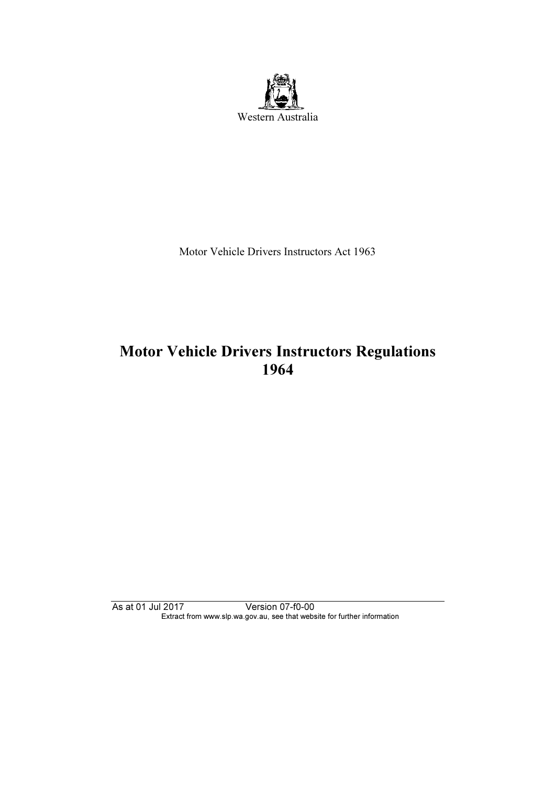

Motor Vehicle Drivers Instructors Act 1963

# Motor Vehicle Drivers Instructors Regulations<br>1964

As at 01 Jul 2017 Version 07-f0-00 Extract from www.slp.wa.gov.au, see that website for further information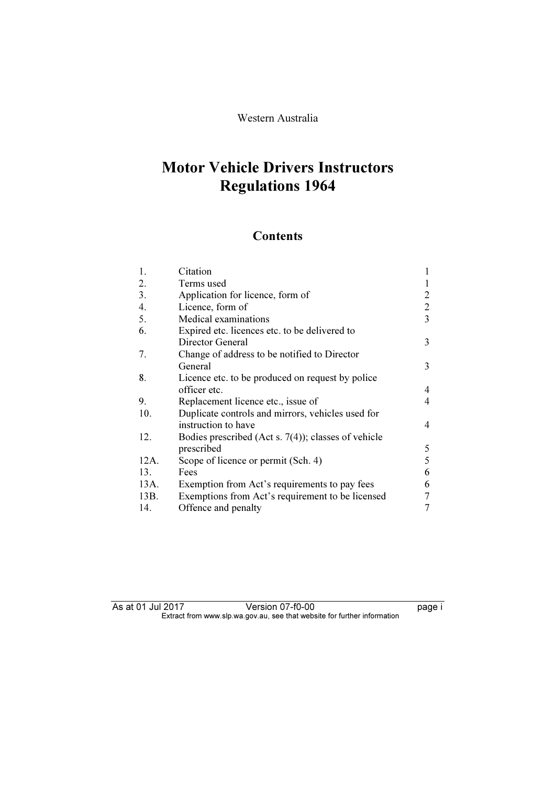#### Western Australia

## Regulations 1964 Regulations 1964

## **Contents**

| 1.   | Citation                                               |   |
|------|--------------------------------------------------------|---|
| 2.   | Terms used                                             |   |
| 3.   | Application for licence, form of                       | 2 |
| 4.   | Licence, form of                                       | 2 |
| 5.   | Medical examinations                                   | 3 |
| 6.   | Expired etc. licences etc. to be delivered to          |   |
|      | Director General                                       | 3 |
| 7.   | Change of address to be notified to Director           |   |
|      | General                                                | 3 |
| 8.   | Licence etc. to be produced on request by police       |   |
|      | officer etc.                                           | 4 |
| 9.   | Replacement licence etc., issue of                     | 4 |
| 10.  | Duplicate controls and mirrors, vehicles used for      |   |
|      | instruction to have                                    | 4 |
| 12.  | Bodies prescribed (Act s. $7(4)$ ); classes of vehicle |   |
|      | prescribed                                             | 5 |
| 12A. | Scope of licence or permit (Sch. 4)                    | 5 |
| 13.  | Fees                                                   | 6 |
| 13A. | Exemption from Act's requirements to pay fees          | 6 |
| 13B. | Exemptions from Act's requirement to be licensed       | 7 |
| 14.  | Offence and penalty                                    | 7 |

As at 01 Jul 2017 Version 07-f0-00 page i Extract from www.slp.wa.gov.au, see that website for further information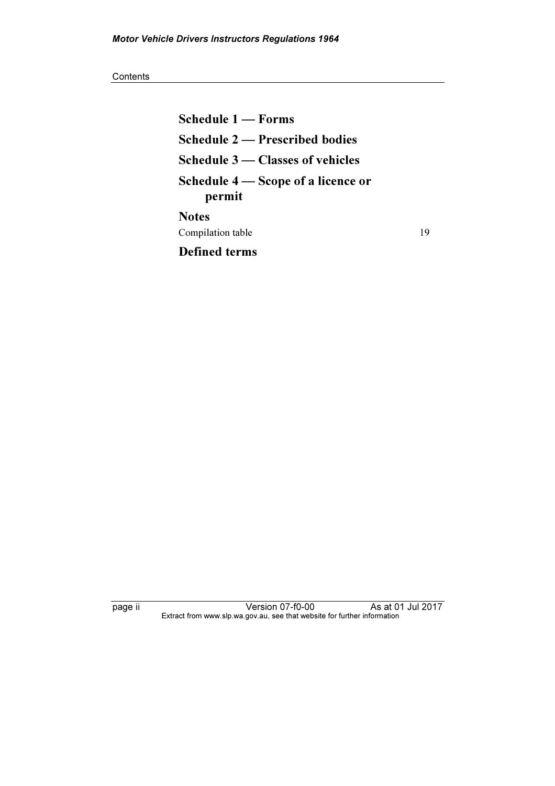#### **Contents**

Schedule 1 — Forms Schedule 2 — Prescribed bodies Schedule 3 — Classes of vehicles Schedule 4 — Scope of a licence or permit **Notes** Compilation table 19 Defined terms

page ii Version 07-f0-00 As at 01 Jul 2017 Extract from www.slp.wa.gov.au, see that website for further information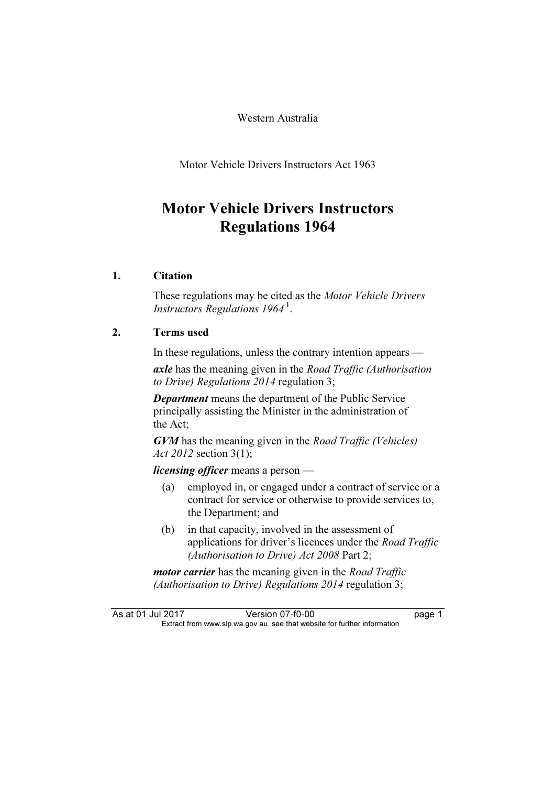Western Australia

Motor Vehicle Drivers Instructors Act 1963

## **Motor Vehicle Drivers Instructors** Motor Vehicle Drivers Instructors Regulations 1964

#### 1. Citation

 These regulations may be cited as the Motor Vehicle Drivers Instructors Regulations 1964<sup>1</sup>.

#### 2. Terms used

In these regulations, unless the contrary intention appears —

axle has the meaning given in the Road Traffic (Authorisation to Drive) Regulations 2014 regulation 3;

Department means the department of the Public Service principally assisting the Minister in the administration of the Act;

GVM has the meaning given in the Road Traffic (Vehicles) Act 2012 section 3(1);

*licensing officer* means a person —<br>(a) employed in, or engaged uno

- employed in, or engaged under a contract of service or a contract for service or otherwise to provide services to, the Department; and
- (b) in that capacity, involved in the assessment of applications for driver's licences under the Road Traffic (Authorisation to Drive) Act 2008 Part 2;

*motor carrier* has the meaning given in the *Road Traffic* (Authorisation to Drive) Regulations 2014 regulation 3;

As at 01 Jul 2017 Version 07-f0-00 page 1<br>Extract from www.slp.wa.gov.au, see that website for further information  $\mathbf{F}$  from which was the set that we besite for further information  $\mathbf{F}$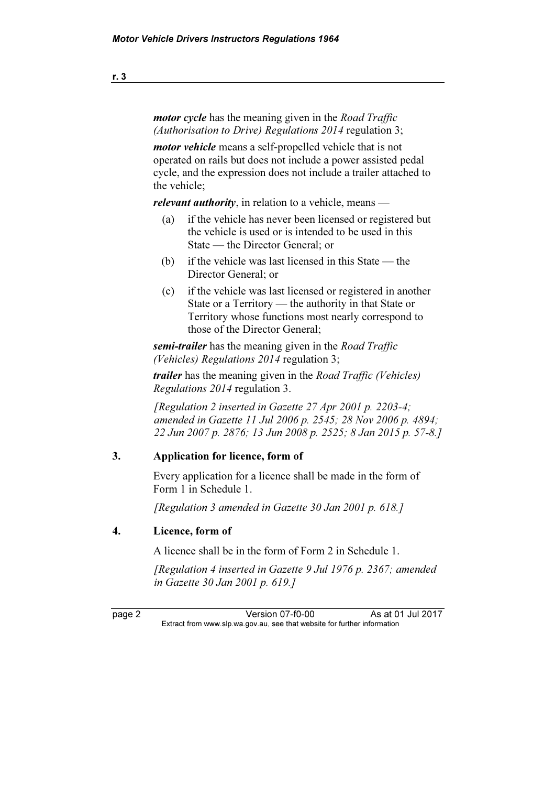motor cycle has the meaning given in the Road Traffic (Authorisation to Drive) Regulations 2014 regulation 3;

motor vehicle means a self-propelled vehicle that is not operated on rails but does not include a power assisted pedal cycle, and the expression does not include a trailer attached to the vehicle;

*relevant authority*, in relation to a vehicle, means —<br>(a) if the vehicle has never been licensed or regis

- if the vehicle has never been licensed or registered but the vehicle is used or is intended to be used in this State — the Director General; or
- (b) if the vehicle was last licensed in this State the Director General; or
- (c) if the vehicle was last licensed or registered in another State or a Territory — the authority in that State or Territory whose functions most nearly correspond to those of the Director General;

semi-trailer has the meaning given in the Road Traffic (Vehicles) Regulations 2014 regulation 3;

trailer has the meaning given in the Road Traffic (Vehicles) Regulations 2014 regulation 3.

[Regulation 2 inserted in Gazette 27 Apr 2001 p. 2203-4; amended in Gazette 11 Jul 2006 p. 2545; 28 Nov 2006 p. 4894; 22 Jun 2007 p. 2876; 13 Jun 2008 p. 2525; 8 Jan 2015 p. 57-8.]

#### 3. Application for licence, form of

 Every application for a licence shall be made in the form of Form 1 in Schedule 1.

[Regulation 3 amended in Gazette 30 Jan 2001 p. 618.]

#### 4. Licence, form of

A licence shall be in the form of Form 2 in Schedule 1.

 [Regulation 4 inserted in Gazette 9 Jul 1976 p. 2367; amended in Gazette 30 Jan 2001 p. 619.]

page 2 Version 07-f0-00 As at 01 Jul 2017<br>Extract from www.slp.wa.gov.au, see that website for further information  $\mathbf{F}$  from which was the set that we besite for further information  $\mathbf{F}$ 

r. 3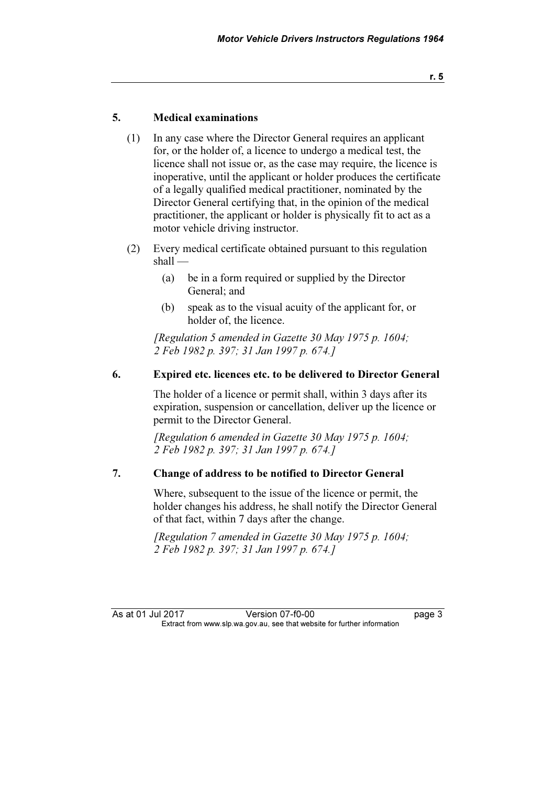#### 5. Medical examinations

- (1) In any case where the Director General requires an applicant for, or the holder of, a licence to undergo a medical test, the licence shall not issue or, as the case may require, the licence is inoperative, until the applicant or holder produces the certificate of a legally qualified medical practitioner, nominated by the Director General certifying that, in the opinion of the medical practitioner, the applicant or holder is physically fit to act as a motor vehicle driving instructor.
- (2) Every medical certificate obtained pursuant to this regulation shall —
	- (a) be in a form required or supplied by the Director General; and
	- (b) speak as to the visual acuity of the applicant for, or holder of, the licence.

 [Regulation 5 amended in Gazette 30 May 1975 p. 1604; 2 Feb 1982 p. 397; 31 Jan 1997 p. 674.]

#### 6. Expired etc. licences etc. to be delivered to Director General

 The holder of a licence or permit shall, within 3 days after its expiration, suspension or cancellation, deliver up the licence or permit to the Director General.

[Regulation 6 amended in Gazette 30 May 1975 p. 1604; 2 Feb 1982 p. 397; 31 Jan 1997 p. 674.]

#### 7. Change of address to be notified to Director General

 Where, subsequent to the issue of the licence or permit, the holder changes his address, he shall notify the Director General of that fact, within 7 days after the change.

 $[Requlation 7$  amended in Gazette 30 May 1975 p. 1604; 2 Feb 1982 p. 397; 31 Jan 1997 p. 674.]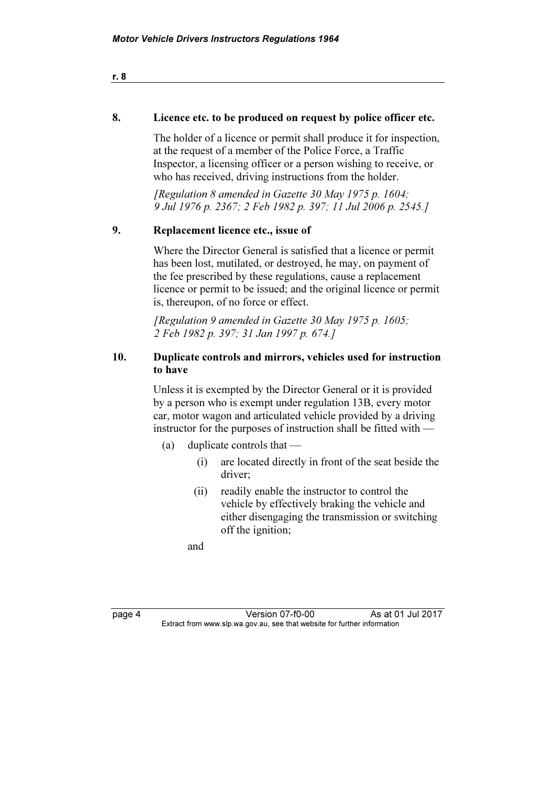#### 8. Licence etc. to be produced on request by police officer etc.

 The holder of a licence or permit shall produce it for inspection, at the request of a member of the Police Force, a Traffic Inspector, a licensing officer or a person wishing to receive, or who has received, driving instructions from the holder.

 [Regulation 8 amended in Gazette 30 May 1975 p. 1604; 9 Jul 1976 p. 2367; 2 Feb 1982 p. 397; 11 Jul 2006 p. 2545.]

#### 9. Replacement licence etc., issue of

 Where the Director General is satisfied that a licence or permit has been lost, mutilated, or destroyed, he may, on payment of the fee prescribed by these regulations, cause a replacement licence or permit to be issued; and the original licence or permit is, thereupon, of no force or effect.

 [Regulation 9 amended in Gazette 30 May 1975 p. 1605; 2 Feb 1982 p. 397; 31 Jan 1997 p. 674.]

#### 10. Duplicate controls and mirrors, vehicles used for instruction to have

 Unless it is exempted by the Director General or it is provided by a person who is exempt under regulation 13B, every motor car, motor wagon and articulated vehicle provided by a driving instructor for the purposes of instruction shall be fitted with —

- (a) duplicate controls that
	- (i) are located directly in front of the seat beside the driver;
	- (ii) readily enable the instructor to control the vehicle by effectively braking the vehicle and either disengaging the transmission or switching off the ignition;

and

| x<br>۰. |  |
|---------|--|
|---------|--|

**Page 4 Version 07-f0-00** As at 01 Jul 2017<br>Extract from www.slp.wa.gov.au, see that website for further information  $\mathbf{F}$  from which was the set that we besite for further information  $\mathbf{F}$ 

r. 8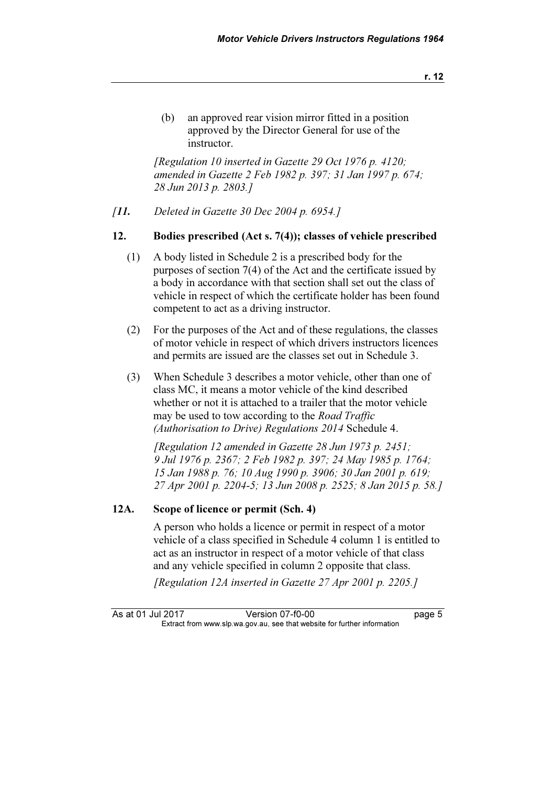(b) an approved rear vision mirror fitted in a position approved by the Director General for use of the instructor.

 [Regulation 10 inserted in Gazette 29 Oct 1976 p. 4120; amended in Gazette 2 Feb 1982 p. 397; 31 Jan 1997 p. 674; 28 Jun 2013 p. 2803.]

[11. Deleted in Gazette 30 Dec 2004 p. 6954.]

#### 12. Bodies prescribed (Act s. 7(4)); classes of vehicle prescribed

- (1) A body listed in Schedule 2 is a prescribed body for the purposes of section 7(4) of the Act and the certificate issued by a body in accordance with that section shall set out the class of vehicle in respect of which the certificate holder has been found competent to act as a driving instructor.
- (2) For the purposes of the Act and of these regulations, the classes of motor vehicle in respect of which drivers instructors licences and permits are issued are the classes set out in Schedule 3.
- (3) When Schedule 3 describes a motor vehicle, other than one of class MC, it means a motor vehicle of the kind described whether or not it is attached to a trailer that the motor vehicle may be used to tow according to the *Road Traffic* (Authorisation to Drive) Regulations 2014 Schedule 4.

[Regulation 12 amended in Gazette  $28$  Jun 1973 p. 2451; 9 Jul 1976 p. 2367; 2 Feb 1982 p. 397; 24 May 1985 p. 1764; 15 Jan 1988 p. 76; 10 Aug 1990 p. 3906; 30 Jan 2001 p. 619; 27 Apr 2001 p. 2204-5; 13 Jun 2008 p. 2525; 8 Jan 2015 p. 58.]

#### 12A. Scope of licence or permit (Sch. 4)

 A person who holds a licence or permit in respect of a motor vehicle of a class specified in Schedule 4 column 1 is entitled to act as an instructor in respect of a motor vehicle of that class and any vehicle specified in column 2 opposite that class.

[Regulation 12A inserted in Gazette 27 Apr 2001 p. 2205.]

As at 01 Jul 2017 Version 07-f0-00 page 5<br>Extract from www.slp.wa.gov.au, see that website for further information  $\mathbf{F}$  from which was the set that we besite for further information  $\mathbf{F}$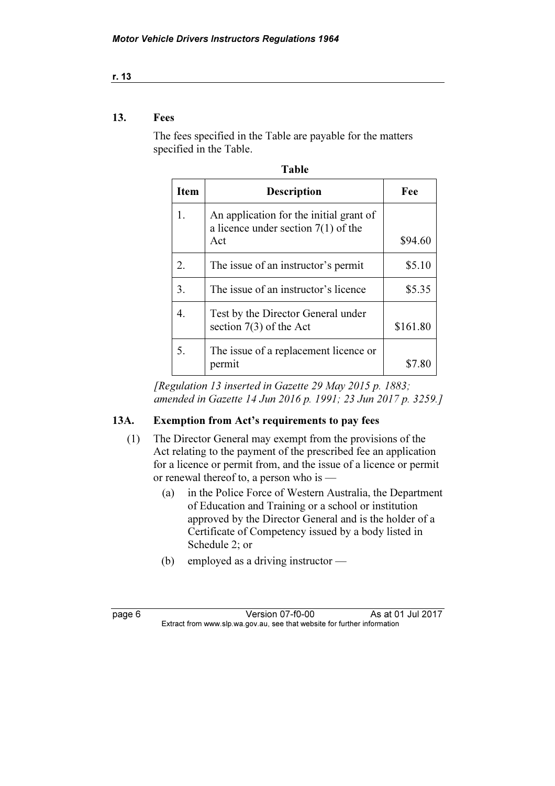#### r. 13

#### 13. Fees

 The fees specified in the Table are payable for the matters specified in the Table.

Table

| і апіс |                                                                                         |          |
|--------|-----------------------------------------------------------------------------------------|----------|
| Item   | <b>Description</b>                                                                      | Fee      |
| 1.     | An application for the initial grant of<br>a licence under section $7(1)$ of the<br>Act | \$94.60  |
| 2.     | The issue of an instructor's permit                                                     | \$5.10   |
| 3.     | The issue of an instructor's licence                                                    | \$5.35   |
| 4.     | Test by the Director General under<br>section $7(3)$ of the Act                         | \$161.80 |
| 5.     | The issue of a replacement licence or<br>permit                                         | \$7.80   |

 [Regulation 13 inserted in Gazette 29 May 2015 p. 1883; amended in Gazette 14 Jun 2016 p. 1991; 23 Jun 2017 p. 3259.]

#### 13A. Exemption from Act's requirements to pay fees

- (1) The Director General may exempt from the provisions of the Act relating to the payment of the prescribed fee an application for a licence or permit from, and the issue of a licence or permit or renewal thereof to, a person who is —
	- (a) in the Police Force of Western Australia, the Department of Education and Training or a school or institution approved by the Director General and is the holder of a Certificate of Competency issued by a body listed in Schedule 2; or
	- (b) employed as a driving instructor —

| C<br>е<br>۰ |  |
|-------------|--|
|-------------|--|

**Page 6 Version 07-f0-00** As at 01 Jul 2017<br>Extract from www.slp.wa.gov.au, see that website for further information  $\mathbf{F}$  from which was the set that we besite for further information  $\mathbf{F}$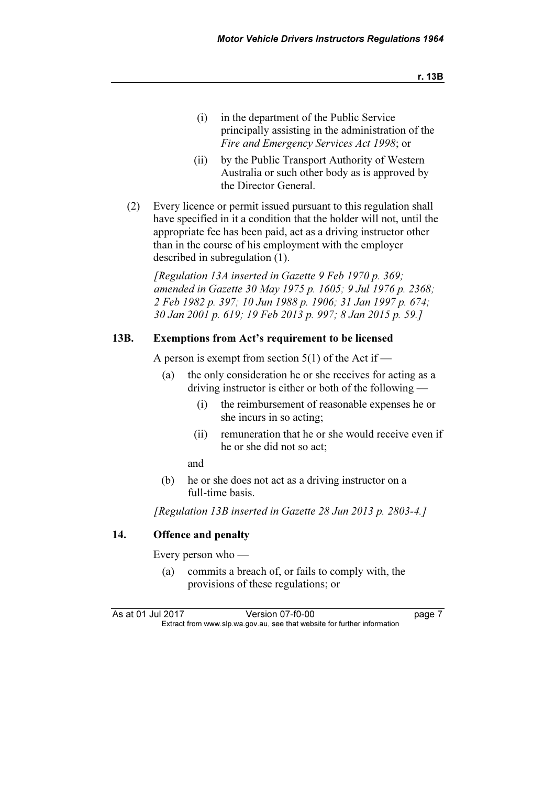- (i) in the department of the Public Service principally assisting in the administration of the Fire and Emergency Services Act 1998; or
- (ii) by the Public Transport Authority of Western Australia or such other body as is approved by the Director General.
- (2) Every licence or permit issued pursuant to this regulation shall have specified in it a condition that the holder will not, until the appropriate fee has been paid, act as a driving instructor other than in the course of his employment with the employer described in subregulation (1).

[Regulation 13A inserted in Gazette 9 Feb 1970 p. 369; amended in Gazette 30 May 1975 p. 1605; 9 Jul 1976 p. 2368; 2 Feb 1982 p. 397; 10 Jun 1988 p. 1906; 31 Jan 1997 p. 674; 30 Jan 2001 p. 619; 19 Feb 2013 p. 997; 8 Jan 2015 p. 59.]

#### 13B. Exemptions from Act's requirement to be licensed

A person is exempt from section  $5(1)$  of the Act if —

- (a) the only consideration he or she receives for acting as a driving instructor is either or both of the following —
	- (i) the reimbursement of reasonable expenses he or she incurs in so acting;
	- (ii) remuneration that he or she would receive even if he or she did not so act;

and

 (b) he or she does not act as a driving instructor on a full-time basis.

[Regulation 13B inserted in Gazette 28 Jun 2013 p. 2803-4.]

#### 14. Offence and penalty

Every person who —

 (a) commits a breach of, or fails to comply with, the provisions of these regulations; or

As at 01 Jul 2017 Version 07-f0-00 page 7<br>Extract from www.slp.wa.gov.au, see that website for further information  $\mathbf{F}$  from which was the set that we besite for further information  $\mathbf{F}$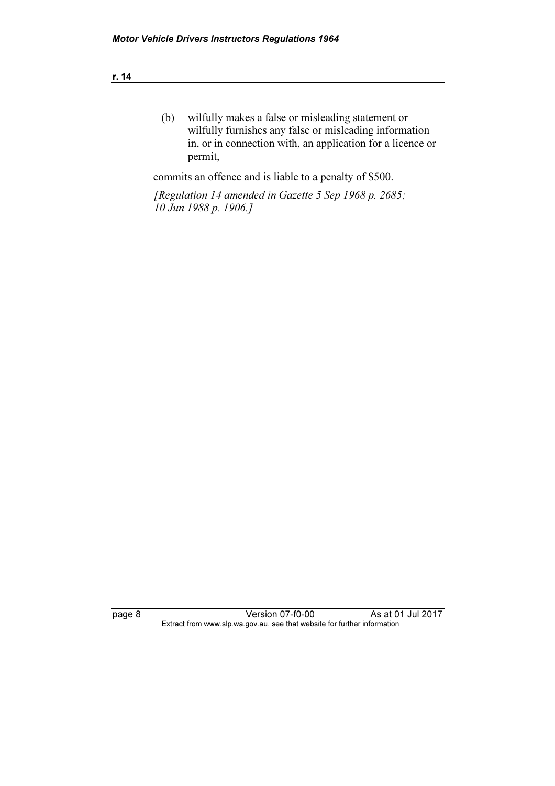| ٠ | ٧ |  |
|---|---|--|
|   |   |  |

 (b) wilfully makes a false or misleading statement or wilfully furnishes any false or misleading information in, or in connection with, an application for a licence or permit,

commits an offence and is liable to a penalty of \$500.

 [Regulation 14 amended in Gazette 5 Sep 1968 p. 2685; 10 Jun 1988 p. 1906.]

page 8 Version 07-f0-00 As at 01 Jul 2017 Extract from www.slp.wa.gov.au, see that website for further information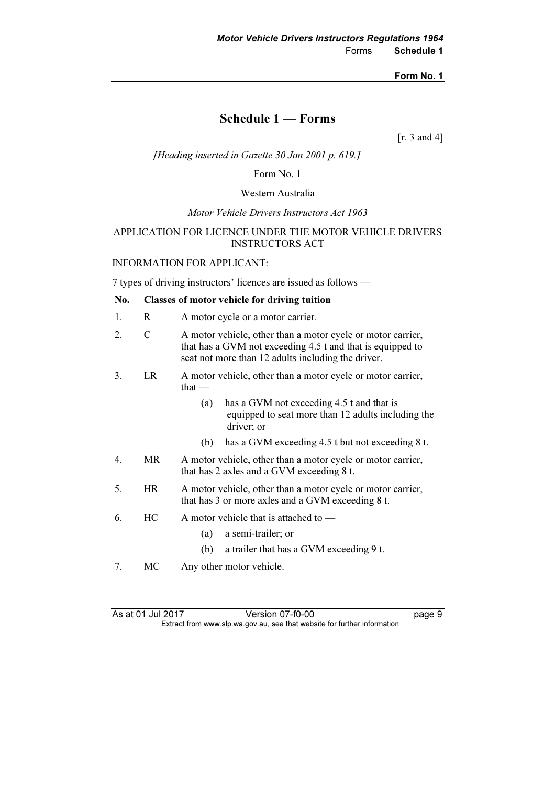### Schedule 1 — Forms

[r. 3 and 4]

[Heading inserted in Gazette 30 Jan 2001 p. 619.]

Form No. 1

#### Western Australia

Motor Vehicle Drivers Instructors Act 1963

#### APPLICATION FOR LICENCE UNDER THE MOTOR VEHICLE DRIVERS INSTRUCTORS ACT

#### INFORMATION FOR APPLICANT:

7 types of driving instructors' licences are issued as follows —

#### No. Classes of motor vehicle for driving tuition

- 1. R A motor cycle or a motor carrier.
- 2. C A motor vehicle, other than a motor cycle or motor carrier, that has a GVM not exceeding 4.5 t and that is equipped to seat not more than 12 adults including the driver.
- 3. LR A motor vehicle, other than a motor cycle or motor carrier, that —
	- (a) has a GVM not exceeding 4.5 t and that is equipped to seat more than 12 adults including the driver; or
	- (b) has a GVM exceeding 4.5 t but not exceeding 8 t.
- 4. MR A motor vehicle, other than a motor cycle or motor carrier, that has 2 axles and a GVM exceeding 8 t.
- 5. HR A motor vehicle, other than a motor cycle or motor carrier, that has 3 or more axles and a GVM exceeding 8 t.
- 6. HC A motor vehicle that is attached to
	- (a) a semi-trailer; or
	- (b) a trailer that has a GVM exceeding 9 t.
- 7. MC Any other motor vehicle.

As at 01 Jul 2017 Version 07-f0-00 page 9<br>Extract from www.slp.wa.gov.au, see that website for further information  $\mathbf{F}$  from which was the set that we besite for further information  $\mathbf{F}$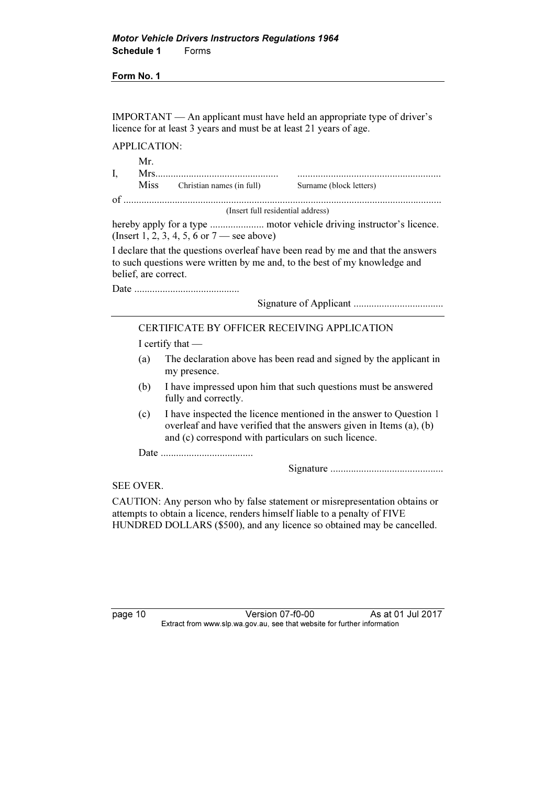IMPORTANT — An applicant must have held an appropriate type of driver's licence for at least 3 years and must be at least 21 years of age.

APPLICATION:

| <b>Miss</b> | Christian names (in full) | Surname (block letters) |
|-------------|---------------------------|-------------------------|
|             |                           |                         |

(Insert full residential address)

hereby apply for a type ..................... motor vehicle driving instructor's licence. (Insert 1, 2, 3, 4, 5, 6 or 7 — see above)

I declare that the questions overleaf have been read by me and that the answers to such questions were written by me and, to the best of my knowledge and belief, are correct.

Date .........................................

Signature of Applicant ...................................

#### CERTIFICATE BY OFFICER RECEIVING APPLICATION

I certify that —

- (a) The declaration above has been read and signed by the applicant in my presence.
- (b) I have impressed upon him that such questions must be answered fully and correctly.
- (c) I have inspected the licence mentioned in the answer to Question 1 overleaf and have verified that the answers given in Items (a), (b) and (c) correspond with particulars on such licence.

Date ....................................

Signature ............................................

#### SEE OVER.

CAUTION: Any person who by false statement or misrepresentation obtains or attempts to obtain a licence, renders himself liable to a penalty of FIVE HUNDRED DOLLARS (\$500), and any licence so obtained may be cancelled.

page 10 Version 07-f0-00 As at 01 Jul 2017<br>Extract from www.slp.wa.gov.au, see that website for further information  $\mathbf{F}$  from which was the set that we besite for further information  $\mathbf{F}$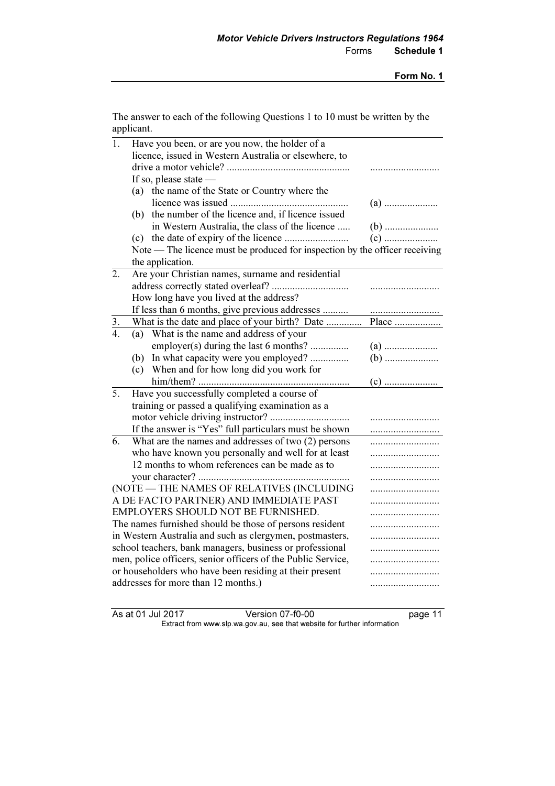The answer to each of the following Questions 1 to 10 must be written by the applicant.

| $\overline{1}$ . | Have you been, or are you now, the holder of a                              |       |  |
|------------------|-----------------------------------------------------------------------------|-------|--|
|                  | licence, issued in Western Australia or elsewhere, to                       |       |  |
|                  |                                                                             |       |  |
|                  | If so, please state $-$                                                     |       |  |
|                  | (a) the name of the State or Country where the                              |       |  |
|                  |                                                                             |       |  |
|                  | the number of the licence and, if licence issued<br>(b)                     |       |  |
|                  | in Western Australia, the class of the licence                              |       |  |
|                  |                                                                             |       |  |
|                  | Note — The licence must be produced for inspection by the officer receiving |       |  |
|                  | the application.                                                            |       |  |
| 2.               | Are your Christian names, surname and residential                           |       |  |
|                  |                                                                             |       |  |
|                  | How long have you lived at the address?                                     |       |  |
|                  | If less than 6 months, give previous addresses                              |       |  |
| $rac{3}{4}$      | What is the date and place of your birth? Date                              | Place |  |
|                  | What is the name and address of your<br>(a)                                 |       |  |
|                  | employer(s) during the last 6 months?                                       |       |  |
|                  | (b) In what capacity were you employed?                                     |       |  |
|                  | (c) When and for how long did you work for                                  |       |  |
|                  |                                                                             |       |  |
| 5.               | Have you successfully completed a course of                                 |       |  |
|                  | training or passed a qualifying examination as a                            |       |  |
|                  |                                                                             |       |  |
|                  | If the answer is "Yes" full particulars must be shown                       |       |  |
| 6.               | What are the names and addresses of two (2) persons                         |       |  |
|                  | who have known you personally and well for at least                         |       |  |
|                  | 12 months to whom references can be made as to                              |       |  |
|                  |                                                                             |       |  |
|                  | (NOTE - THE NAMES OF RELATIVES (INCLUDING                                   |       |  |
|                  | A DE FACTO PARTNER) AND IMMEDIATE PAST                                      |       |  |
|                  | EMPLOYERS SHOULD NOT BE FURNISHED.                                          |       |  |
|                  | The names furnished should be those of persons resident                     |       |  |
|                  | in Western Australia and such as clergymen, postmasters,                    |       |  |
|                  | school teachers, bank managers, business or professional<br>                |       |  |
|                  | men, police officers, senior officers of the Public Service,                | .     |  |
|                  | or householders who have been residing at their present                     | .     |  |
|                  | addresses for more than 12 months.)                                         |       |  |
|                  |                                                                             |       |  |

As at 01 Jul 2017 Version 07-f0-00 page 11 Extract from www.slp.wa.gov.au, see that website for further information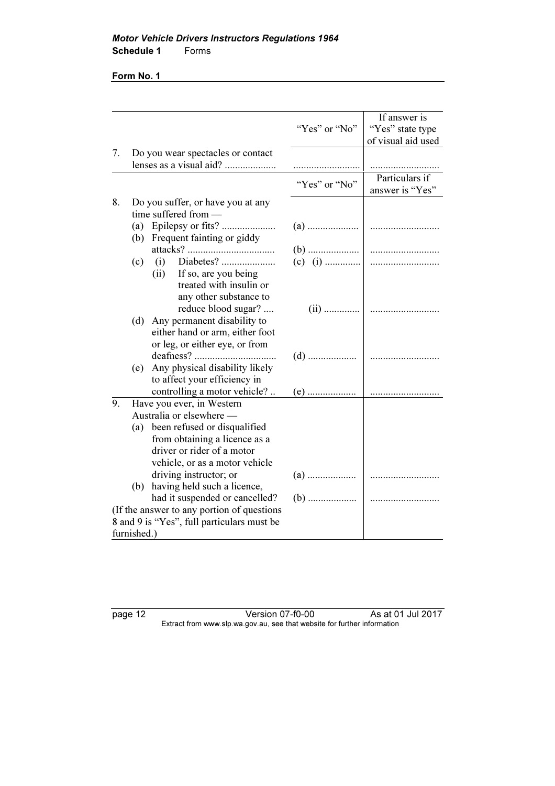|                                            |             |                                                                   |               | If answer is       |
|--------------------------------------------|-------------|-------------------------------------------------------------------|---------------|--------------------|
|                                            |             |                                                                   | "Yes" or "No" | "Yes" state type   |
|                                            |             |                                                                   |               | of visual aid used |
| 7.                                         |             | Do you wear spectacles or contact                                 |               |                    |
|                                            |             | lenses as a visual aid?                                           |               |                    |
|                                            |             |                                                                   | "Yes" or "No" | Particulars if     |
|                                            |             |                                                                   |               | answer is "Yes"    |
| 8.                                         |             | Do you suffer, or have you at any                                 |               |                    |
|                                            |             | time suffered from -                                              |               |                    |
|                                            |             |                                                                   |               |                    |
|                                            |             | (b) Frequent fainting or giddy                                    |               |                    |
|                                            |             |                                                                   |               |                    |
|                                            | (c)         |                                                                   | (c) (i)       |                    |
|                                            |             | (ii) If so, are you being                                         |               |                    |
|                                            |             | treated with insulin or                                           |               |                    |
|                                            |             | any other substance to                                            |               |                    |
|                                            |             | reduce blood sugar?                                               |               |                    |
|                                            |             | (d) Any permanent disability to                                   |               |                    |
|                                            |             | either hand or arm, either foot<br>or leg, or either eye, or from |               |                    |
|                                            |             |                                                                   |               |                    |
|                                            |             | (e) Any physical disability likely                                |               |                    |
|                                            |             | to affect your efficiency in                                      |               |                    |
|                                            |             | controlling a motor vehicle?                                      |               |                    |
| 9.                                         |             | Have you ever, in Western                                         |               |                    |
|                                            |             | Australia or elsewhere -                                          |               |                    |
|                                            |             | (a) been refused or disqualified                                  |               |                    |
|                                            |             | from obtaining a licence as a                                     |               |                    |
|                                            |             | driver or rider of a motor                                        |               |                    |
|                                            |             | vehicle, or as a motor vehicle                                    |               |                    |
|                                            |             | driving instructor; or                                            |               |                    |
|                                            |             | (b) having held such a licence,                                   |               |                    |
|                                            |             | had it suspended or cancelled?                                    |               |                    |
| (If the answer to any portion of questions |             |                                                                   |               |                    |
|                                            |             | 8 and 9 is "Yes", full particulars must be                        |               |                    |
|                                            | furnished.) |                                                                   |               |                    |

page 12 Version 07-f0-00 As at 01 Jul 2017 Extract from www.slp.wa.gov.au, see that website for further information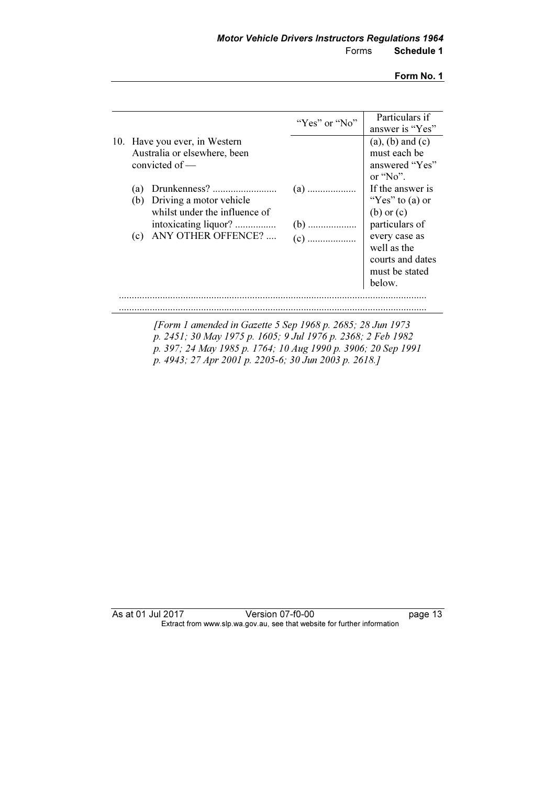| 10. Have you ever, in Western                                                                       |                         | $(a)$ , $(b)$ and $(c)$                                                                                                                                   |
|-----------------------------------------------------------------------------------------------------|-------------------------|-----------------------------------------------------------------------------------------------------------------------------------------------------------|
| Australia or elsewhere, been<br>convicted of -                                                      |                         | must each be<br>answered "Yes"<br>or $\omega$ .                                                                                                           |
| (a)<br>Driving a motor vehicle<br>(b)<br>whilst under the influence of<br>ANY OTHER OFFENCE?<br>(c) | $(a)$<br>$(b)$<br>$(c)$ | If the answer is<br>"Yes" to $(a)$ or<br>$(b)$ or $(c)$<br>particulars of<br>every case as<br>well as the<br>courts and dates<br>must be stated<br>below. |
|                                                                                                     |                         |                                                                                                                                                           |

 [Form 1 amended in Gazette 5 Sep 1968 p. 2685; 28 Jun 1973 p. 2451; 30 May 1975 p. 1605; 9 Jul 1976 p. 2368; 2 Feb 1982 p. 397; 24 May 1985 p. 1764; 10 Aug 1990 p. 3906; 20 Sep 1991 p. 4943; 27 Apr 2001 p. 2205-6; 30 Jun 2003 p. 2618.]

As at 01 Jul 2017 Version 07-f0-00 page 13 Extract from www.slp.wa.gov.au, see that website for further information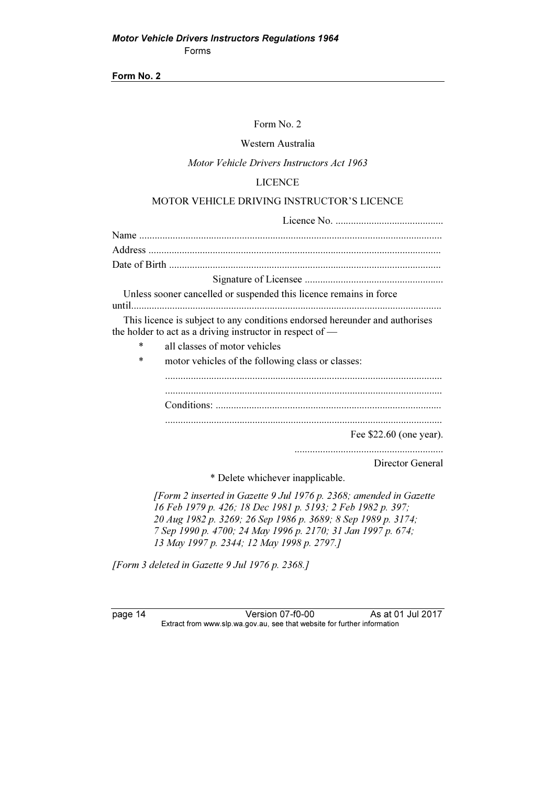#### Form No. 2

#### Western Australia

#### Motor Vehicle Drivers Instructors Act 1963

#### LICENCE

#### MOTOR VEHICLE DRIVING INSTRUCTOR'S LICENCE

| Unless sooner cancelled or suspended this licence remains in force                                                                                                                                                                                                 |
|--------------------------------------------------------------------------------------------------------------------------------------------------------------------------------------------------------------------------------------------------------------------|
| until                                                                                                                                                                                                                                                              |
| This licence is subject to any conditions endorsed hereunder and authorises<br>the holder to act as a driving instructor in respect of $-$                                                                                                                         |
| all classes of motor vehicles<br>*                                                                                                                                                                                                                                 |
| *<br>motor vehicles of the following class or classes:                                                                                                                                                                                                             |
|                                                                                                                                                                                                                                                                    |
|                                                                                                                                                                                                                                                                    |
|                                                                                                                                                                                                                                                                    |
|                                                                                                                                                                                                                                                                    |
| Fee $$22.60$ (one year).                                                                                                                                                                                                                                           |
|                                                                                                                                                                                                                                                                    |
| Director General                                                                                                                                                                                                                                                   |
| * Delete whichever inapplicable.                                                                                                                                                                                                                                   |
| [Form 2 inserted in Gazette 9 Jul 1976 p. 2368; amended in Gazette<br>16 Feb 1979 p. 426; 18 Dec 1981 p. 5193; 2 Feb 1982 p. 397;<br>20 Aug 1982 p. 3269; 26 Sep 1986 p. 3689; 8 Sep 1989 p. 3174;<br>7 Sep 1990 p. 4700; 24 May 1996 p. 2170; 31 Jan 1997 p. 674; |

13 May 1997 p. 2344; 12 May 1998 p. 2797.]

[Form 3 deleted in Gazette 9 Jul 1976 p. 2368.]

page 14 Version 07-f0-00 As at 01 Jul 2017 Extract from www.slp.wa.gov.au, see that website for further information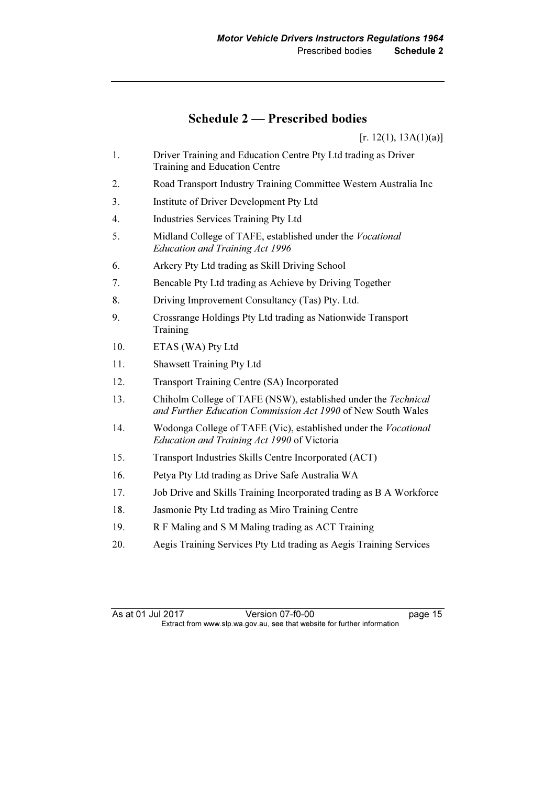## Schedule 2 — Prescribed bodies

 $[r. 12(1), 13A(1)(a)]$ 

- 1. Driver Training and Education Centre Pty Ltd trading as Driver Training and Education Centre
- 2. Road Transport Industry Training Committee Western Australia Inc
- 3. Institute of Driver Development Pty Ltd
- 4. Industries Services Training Pty Ltd
- 5. Midland College of TAFE, established under the Vocational Education and Training Act 1996
- 6. Arkery Pty Ltd trading as Skill Driving School
- 7. Bencable Pty Ltd trading as Achieve by Driving Together
- 8. Driving Improvement Consultancy (Tas) Pty. Ltd.
- 9. Crossrange Holdings Pty Ltd trading as Nationwide Transport Training
- 10. ETAS (WA) Pty Ltd
- 11. Shawsett Training Pty Ltd
- 12. Transport Training Centre (SA) Incorporated
- 13. Chiholm College of TAFE (NSW), established under the Technical and Further Education Commission Act 1990 of New South Wales
- 14. Wodonga College of TAFE (Vic), established under the Vocational Education and Training Act 1990 of Victoria
- 15. Transport Industries Skills Centre Incorporated (ACT)
- 16. Petya Pty Ltd trading as Drive Safe Australia WA
- 17. Job Drive and Skills Training Incorporated trading as B A Workforce
- 18. Jasmonie Pty Ltd trading as Miro Training Centre
- 19. R F Maling and S M Maling trading as ACT Training
- 20. Aegis Training Services Pty Ltd trading as Aegis Training Services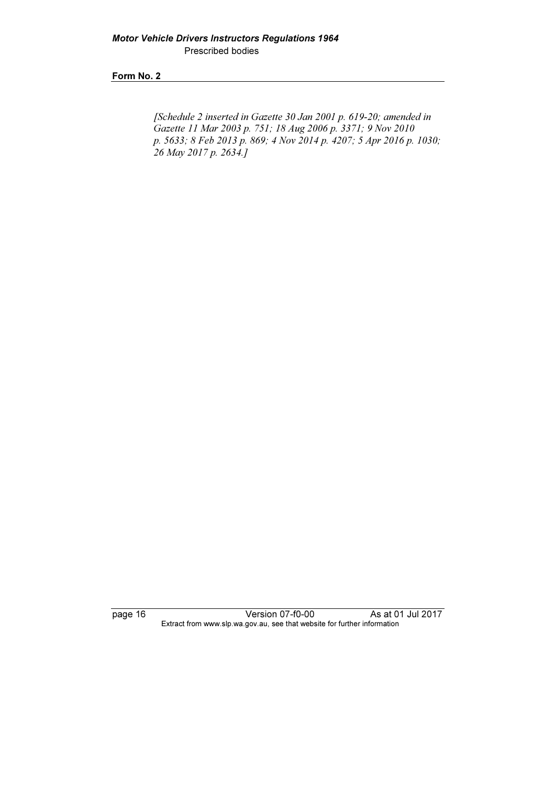[Schedule 2 inserted in Gazette 30 Jan 2001 p. 619-20; amended in Gazette 11 Mar 2003 p. 751; 18 Aug 2006 p. 3371; 9 Nov 2010 p. 5633; 8 Feb 2013 p. 869; 4 Nov 2014 p. 4207; 5 Apr 2016 p. 1030; 26 May 2017 p. 2634.]

page 16 Version 07-f0-00 As at 01 Jul 2017 Extract from www.slp.wa.gov.au, see that website for further information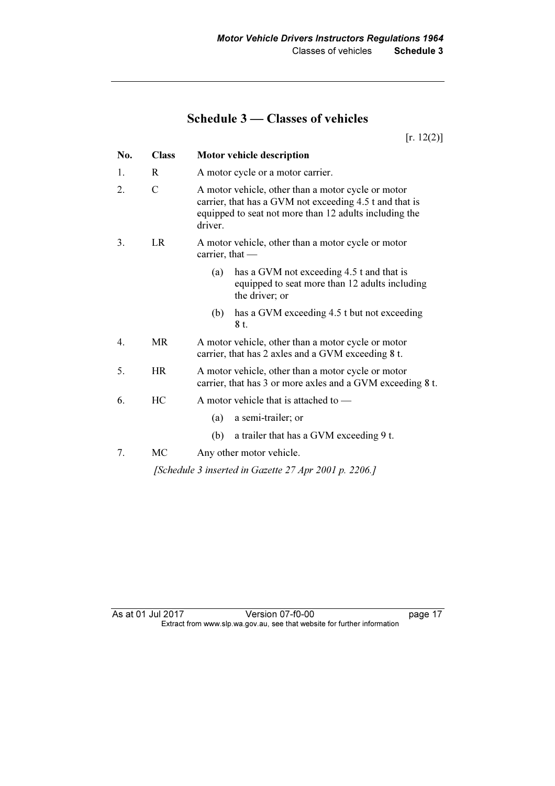## Schedule 3 — Classes of vehicles

 $[r. 12(2)]$ 

| <b>Class</b>  | Motor vehicle description                                                                                                                                                          |  |
|---------------|------------------------------------------------------------------------------------------------------------------------------------------------------------------------------------|--|
| R.            | A motor cycle or a motor carrier.                                                                                                                                                  |  |
| $\mathcal{C}$ | A motor vehicle, other than a motor cycle or motor<br>carrier, that has a GVM not exceeding 4.5 t and that is<br>equipped to seat not more than 12 adults including the<br>driver. |  |
| LR            | A motor vehicle, other than a motor cycle or motor<br>carrier, that $-$                                                                                                            |  |
|               | has a GVM not exceeding 4.5 t and that is<br>(a)<br>equipped to seat more than 12 adults including<br>the driver; or                                                               |  |
|               | has a GVM exceeding 4.5 t but not exceeding<br>(b)<br>8 t.                                                                                                                         |  |
| <b>MR</b>     | A motor vehicle, other than a motor cycle or motor<br>carrier, that has 2 axles and a GVM exceeding 8 t.                                                                           |  |
| HR            | A motor vehicle, other than a motor cycle or motor<br>carrier, that has 3 or more axles and a GVM exceeding 8 t.                                                                   |  |
| HC            | A motor vehicle that is attached to —                                                                                                                                              |  |
|               | a semi-trailer; or<br>(a)                                                                                                                                                          |  |
|               | a trailer that has a GVM exceeding 9 t.<br>(b)                                                                                                                                     |  |
| <b>MC</b>     | Any other motor vehicle.                                                                                                                                                           |  |
|               | [Schedule 3 inserted in Gazette 27 Apr 2001 p. 2206.]                                                                                                                              |  |
|               |                                                                                                                                                                                    |  |

As at 01 Jul 2017 Version 07-f0-00 page 17 Extract from www.slp.wa.gov.au, see that website for further information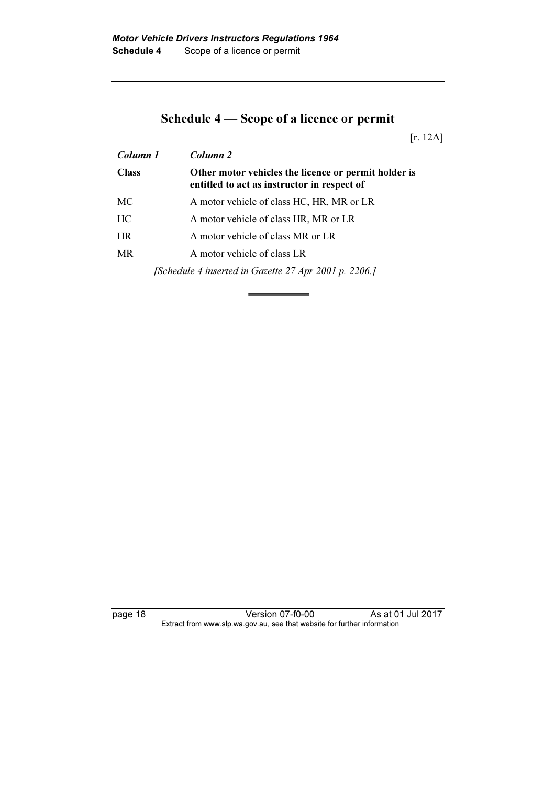## Schedule 4 — Scope of a licence or permit

[r. 12A]

| Column 1     | Column <sub>2</sub>                                                                                 |
|--------------|-----------------------------------------------------------------------------------------------------|
| <b>Class</b> | Other motor vehicles the licence or permit holder is<br>entitled to act as instructor in respect of |
| МC           | A motor vehicle of class HC, HR, MR or LR                                                           |
| HC.          | A motor vehicle of class HR, MR or LR                                                               |
| <b>HR</b>    | A motor vehicle of class MR or LR                                                                   |
| <b>MR</b>    | A motor vehicle of class LR                                                                         |
|              | [Schedule 4 inserted in Gazette 27 Apr 2001 p. 2206.]                                               |

page 18 Version 07-f0-00 As at 01 Jul 2017 Extract from www.slp.wa.gov.au, see that website for further information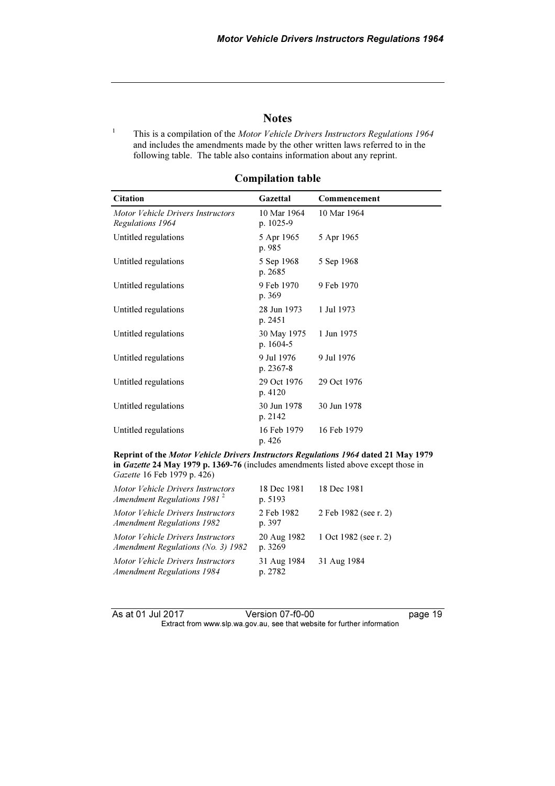#### **Notes**

 This is a compilation of the Motor Vehicle Drivers Instructors Regulations 1964 and includes the amendments made by the other written laws referred to in the following table. The table also contains information about any reprint.

| <b>Citation</b>                                       | Gazettal                    | Commencement |  |
|-------------------------------------------------------|-----------------------------|--------------|--|
| Motor Vehicle Drivers Instructors<br>Regulations 1964 | 10 Mar 1964<br>p. $1025-9$  | 10 Mar 1964  |  |
| Untitled regulations                                  | 5 Apr 1965<br>p. 985        | 5 Apr 1965   |  |
| Untitled regulations                                  | 5 Sep 1968<br>p. 2685       | 5 Sep 1968   |  |
| Untitled regulations                                  | 9 Feb 1970<br>p. 369        | 9 Feb 1970   |  |
| Untitled regulations                                  | 28 Jun 1973<br>p. 2451      | 1 Jul 1973   |  |
| Untitled regulations                                  | 30 May 1975<br>p. $1604-5$  | 1 Jun 1975   |  |
| Untitled regulations                                  | 9 Jul 1976<br>p. $2367 - 8$ | 9 Jul 1976   |  |
| Untitled regulations                                  | 29 Oct 1976<br>p. 4120      | 29 Oct 1976  |  |
| Untitled regulations                                  | 30 Jun 1978<br>p. 2142      | 30 Jun 1978  |  |
| Untitled regulations                                  | 16 Feb 1979<br>p. 426       | 16 Feb 1979  |  |

#### Compilation table

Reprint of the Motor Vehicle Drivers Instructors Regulations 1964 dated 21 May 1979 in Gazette 24 May 1979 p. 1369-76 (includes amendments listed above except those in Gazette 16 Feb 1979 p. 426)

| Motor Vehicle Drivers Instructors<br>Amendment Regulations 1981 $^2$    | 18 Dec 1981<br>p. 5193 | 18 Dec 1981           |
|-------------------------------------------------------------------------|------------------------|-----------------------|
| Motor Vehicle Drivers Instructors<br><b>Amendment Regulations 1982</b>  | 2 Feb 1982<br>p. 397   | 2 Feb 1982 (see r. 2) |
| Motor Vehicle Drivers Instructors<br>Amendment Regulations (No. 3) 1982 | 20 Aug 1982<br>p. 3269 | 1 Oct 1982 (see r. 2) |
| Motor Vehicle Drivers Instructors<br><b>Amendment Regulations 1984</b>  | 31 Aug 1984<br>p. 2782 | 31 Aug 1984           |

1

As at 01 Jul 2017 Version 07-f0-00 page 19 Extract from www.slp.wa.gov.au, see that website for further information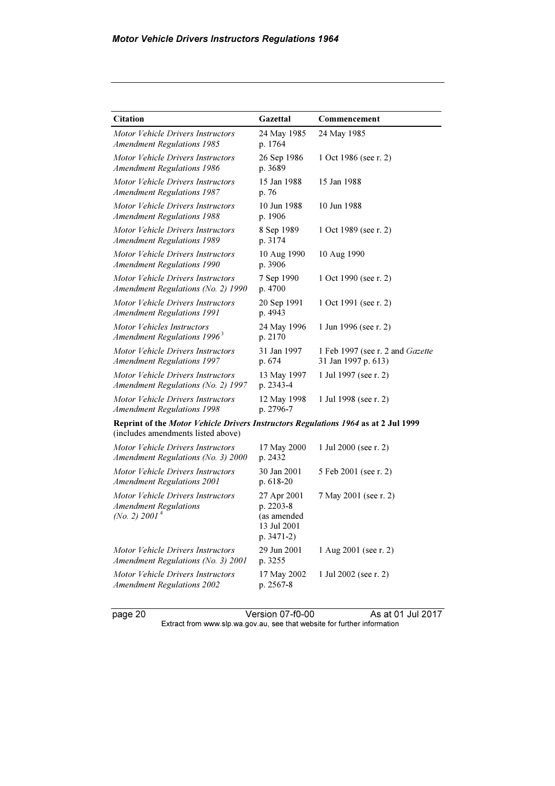| <b>Citation</b>                                                                                                          | Gazettal                                                               | Commencement                                                   |  |
|--------------------------------------------------------------------------------------------------------------------------|------------------------------------------------------------------------|----------------------------------------------------------------|--|
| Motor Vehicle Drivers Instructors<br><b>Amendment Regulations 1985</b>                                                   | 24 May 1985<br>p. 1764                                                 | 24 May 1985                                                    |  |
| Motor Vehicle Drivers Instructors<br><b>Amendment Regulations 1986</b>                                                   | 26 Sep 1986<br>p. 3689                                                 | 1 Oct 1986 (see r. 2)                                          |  |
| Motor Vehicle Drivers Instructors<br><b>Amendment Regulations 1987</b>                                                   | 15 Jan 1988<br>p. 76                                                   | 15 Jan 1988                                                    |  |
| Motor Vehicle Drivers Instructors<br><b>Amendment Regulations 1988</b>                                                   | 10 Jun 1988<br>p. 1906                                                 | 10 Jun 1988                                                    |  |
| Motor Vehicle Drivers Instructors<br><b>Amendment Regulations 1989</b>                                                   | 8 Sep 1989<br>p. 3174                                                  | 1 Oct 1989 (see r. 2)                                          |  |
| Motor Vehicle Drivers Instructors<br><b>Amendment Regulations 1990</b>                                                   | 10 Aug 1990<br>p. 3906                                                 | 10 Aug 1990                                                    |  |
| Motor Vehicle Drivers Instructors<br>Amendment Regulations (No. 2) 1990                                                  | 7 Sep 1990<br>p. 4700                                                  | 1 Oct 1990 (see r. 2)                                          |  |
| Motor Vehicle Drivers Instructors<br><b>Amendment Regulations 1991</b>                                                   | 20 Sep 1991<br>p. 4943                                                 | 1 Oct 1991 (see r. 2)                                          |  |
| Motor Vehicles Instructors<br>Amendment Regulations 1996 <sup>3</sup>                                                    | 24 May 1996<br>p. 2170                                                 | 1 Jun 1996 (see r. 2)                                          |  |
| Motor Vehicle Drivers Instructors<br><b>Amendment Regulations 1997</b>                                                   | 31 Jan 1997<br>p. 674                                                  | 1 Feb 1997 (see r. 2 and <i>Gazette</i><br>31 Jan 1997 p. 613) |  |
| Motor Vehicle Drivers Instructors<br>Amendment Regulations (No. 2) 1997                                                  | 13 May 1997<br>p. 2343-4                                               | 1 Jul 1997 (see r. 2)                                          |  |
| Motor Vehicle Drivers Instructors<br><b>Amendment Regulations 1998</b>                                                   | 12 May 1998<br>p. 2796-7                                               | 1 Jul 1998 (see r. 2)                                          |  |
| Reprint of the Motor Vehicle Drivers Instructors Regulations 1964 as at 2 Jul 1999<br>(includes amendments listed above) |                                                                        |                                                                |  |
| Motor Vehicle Drivers Instructors<br>Amendment Regulations (No. 3) 2000                                                  | 17 May 2000<br>p. 2432                                                 | 1 Jul 2000 (see r. 2)                                          |  |
| Motor Vehicle Drivers Instructors<br><b>Amendment Regulations 2001</b>                                                   | 30 Jan 2001<br>p. 618-20                                               | 5 Feb 2001 (see r. 2)                                          |  |
| Motor Vehicle Drivers Instructors<br><b>Amendment Regulations</b><br>(No. 2) $2001^4$                                    | 27 Apr 2001<br>p. 2203-8<br>(as amended<br>13 Jul 2001<br>p. $3471-2)$ | 7 May 2001 (see r. 2)                                          |  |
| Motor Vehicle Drivers Instructors<br>Amendment Regulations (No. 3) 2001                                                  | 29 Jun 2001<br>p. 3255                                                 | 1 Aug 2001 (see r. 2)                                          |  |
| Motor Vehicle Drivers Instructors<br><b>Amendment Regulations 2002</b>                                                   | 17 May 2002<br>p. 2567-8                                               | 1 Jul 2002 (see r. 2)                                          |  |

page 20 **Version 07-f0-00** As at 01 Jul 2017 Extract from www.slp.wa.gov.au, see that website for further information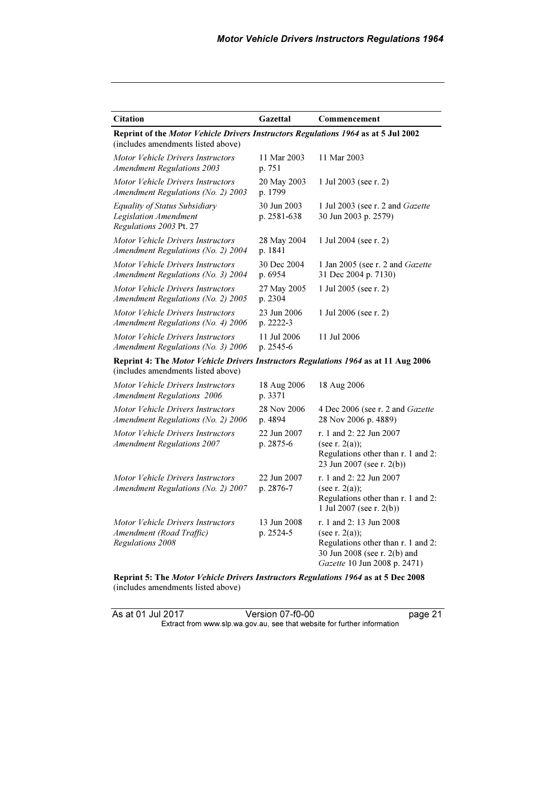| <b>Citation</b>                                                                                                           | Gazettal                   | Commencement                                                                                                                                       |  |
|---------------------------------------------------------------------------------------------------------------------------|----------------------------|----------------------------------------------------------------------------------------------------------------------------------------------------|--|
| Reprint of the Motor Vehicle Drivers Instructors Regulations 1964 as at 5 Jul 2002<br>(includes amendments listed above)  |                            |                                                                                                                                                    |  |
| Motor Vehicle Drivers Instructors<br><b>Amendment Regulations 2003</b>                                                    | 11 Mar 2003<br>p. 751      | 11 Mar 2003                                                                                                                                        |  |
| Motor Vehicle Drivers Instructors<br>Amendment Regulations (No. 2) 2003                                                   | 20 May 2003<br>p. 1799     | 1 Jul 2003 (see r. 2)                                                                                                                              |  |
| Equality of Status Subsidiary<br><b>Legislation Amendment</b><br>Regulations 2003 Pt. 27                                  | 30 Jun 2003<br>p. 2581-638 | 1 Jul 2003 (see r. 2 and Gazette<br>30 Jun 2003 p. 2579)                                                                                           |  |
| Motor Vehicle Drivers Instructors<br>Amendment Regulations (No. 2) 2004                                                   | 28 May 2004<br>p. 1841     | 1 Jul 2004 (see r. 2)                                                                                                                              |  |
| Motor Vehicle Drivers Instructors<br>Amendment Regulations (No. 3) 2004                                                   | 30 Dec 2004<br>p. 6954     | 1 Jan 2005 (see r. 2 and Gazette<br>31 Dec 2004 p. 7130)                                                                                           |  |
| Motor Vehicle Drivers Instructors<br>Amendment Regulations (No. 2) 2005                                                   | 27 May 2005<br>p. 2304     | 1 Jul 2005 (see r. 2)                                                                                                                              |  |
| Motor Vehicle Drivers Instructors<br>Amendment Regulations (No. 4) 2006                                                   | 23 Jun 2006<br>p. 2222-3   | 1 Jul 2006 (see r. 2)                                                                                                                              |  |
| Motor Vehicle Drivers Instructors<br>Amendment Regulations (No. 3) 2006                                                   | 11 Jul 2006<br>p. 2545-6   | 11 Jul 2006                                                                                                                                        |  |
| Reprint 4: The Motor Vehicle Drivers Instructors Regulations 1964 as at 11 Aug 2006<br>(includes amendments listed above) |                            |                                                                                                                                                    |  |
| Motor Vehicle Drivers Instructors<br><b>Amendment Regulations 2006</b>                                                    | 18 Aug 2006<br>p. 3371     | 18 Aug 2006                                                                                                                                        |  |
| Motor Vehicle Drivers Instructors<br>Amendment Regulations (No. 2) 2006                                                   | 28 Nov 2006<br>p. 4894     | 4 Dec 2006 (see r. 2 and <i>Gazette</i><br>28 Nov 2006 p. 4889)                                                                                    |  |
| Motor Vehicle Drivers Instructors<br><b>Amendment Regulations 2007</b>                                                    | 22 Jun 2007<br>p. 2875-6   | r. 1 and 2:22 Jun 2007<br>(see r. $2(a)$ );<br>Regulations other than r. 1 and 2:<br>23 Jun 2007 (see r. 2(b))                                     |  |
| Motor Vehicle Drivers Instructors<br>Amendment Regulations (No. 2) 2007                                                   | 22 Jun 2007<br>p. 2876-7   | r. 1 and 2: 22 Jun 2007<br>(see r. $2(a)$ );<br>Regulations other than r. 1 and 2:<br>1 Jul 2007 (see r. 2(b))                                     |  |
| Motor Vehicle Drivers Instructors<br>Amendment (Road Traffic)<br>Regulations 2008                                         | 13 Jun 2008<br>p. 2524-5   | r. 1 and 2: 13 Jun 2008<br>(see r. $2(a)$ );<br>Regulations other than r. 1 and 2:<br>30 Jun 2008 (see r. 2(b) and<br>Gazette 10 Jun 2008 p. 2471) |  |

Reprint 5: The *Motor Vehicle Drivers Instructors Regulations 1964* as at 5 Dec 2008<br>(includes amendments listed above)

As at 01 Jul 2017 Version 07-f0-00 page 21 Extract from www.slp.wa.gov.au, see that website for further information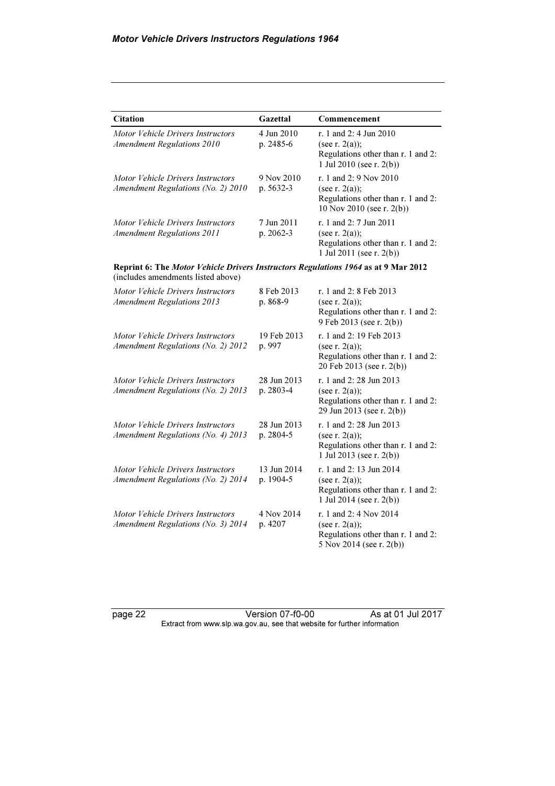| <b>Citation</b>                                                                                                          | Gazettal                 | Commencement                                                                                                     |
|--------------------------------------------------------------------------------------------------------------------------|--------------------------|------------------------------------------------------------------------------------------------------------------|
| Motor Vehicle Drivers Instructors<br><b>Amendment Regulations 2010</b>                                                   | 4 Jun 2010<br>p. 2485-6  | r. 1 and 2: 4 Jun 2010<br>(see r. $2(a)$ );<br>Regulations other than r. 1 and 2:<br>1 Jul 2010 (see r. $2(b)$ ) |
| Motor Vehicle Drivers Instructors<br>Amendment Regulations (No. 2) 2010                                                  | 9 Nov 2010<br>p. 5632-3  | r. 1 and 2: 9 Nov 2010<br>(see $r. 2(a)$ );<br>Regulations other than r. 1 and 2:<br>10 Nov 2010 (see r. 2(b))   |
| Motor Vehicle Drivers Instructors<br><b>Amendment Regulations 2011</b>                                                   | 7 Jun 2011<br>p. 2062-3  | r. 1 and 2: 7 Jun 2011<br>(see r. $2(a)$ );<br>Regulations other than r. 1 and 2:<br>1 Jul 2011 (see r. 2(b))    |
| Reprint 6: The Motor Vehicle Drivers Instructors Regulations 1964 as at 9 Mar 2012<br>(includes amendments listed above) |                          |                                                                                                                  |
| Motor Vehicle Drivers Instructors<br><b>Amendment Regulations 2013</b>                                                   | 8 Feb 2013<br>p. 868-9   | r. 1 and 2: 8 Feb 2013<br>(see r. $2(a)$ );<br>Regulations other than r. 1 and 2:<br>9 Feb 2013 (see r. 2(b))    |
| Motor Vehicle Drivers Instructors<br>Amendment Regulations (No. 2) 2012                                                  | 19 Feb 2013<br>p. 997    | r. 1 and 2: 19 Feb 2013<br>(see r. $2(a)$ );<br>Regulations other than r. 1 and 2:<br>20 Feb 2013 (see r. 2(b))  |
| Motor Vehicle Drivers Instructors<br>Amendment Regulations (No. 2) 2013                                                  | 28 Jun 2013<br>p. 2803-4 | r. 1 and 2:28 Jun 2013<br>(see r. $2(a)$ );<br>Regulations other than r. 1 and 2:<br>29 Jun 2013 (see r. 2(b))   |
| Motor Vehicle Drivers Instructors<br>Amendment Regulations (No. 4) 2013                                                  | 28 Jun 2013<br>p. 2804-5 | r. 1 and 2:28 Jun 2013<br>(see r. $2(a)$ );<br>Regulations other than r. 1 and 2:<br>1 Jul 2013 (see r. 2(b))    |
| Motor Vehicle Drivers Instructors<br>Amendment Regulations (No. 2) 2014                                                  | 13 Jun 2014<br>p. 1904-5 | r. 1 and 2: 13 Jun 2014<br>(see r. $2(a)$ );<br>Regulations other than r. 1 and 2:<br>1 Jul 2014 (see r. 2(b))   |
| Motor Vehicle Drivers Instructors<br>Amendment Regulations (No. 3) 2014                                                  | 4 Nov 2014<br>p. 4207    | r. 1 and 2: 4 Nov 2014<br>(see r. $2(a)$ );<br>Regulations other than r. 1 and 2:<br>5 Nov 2014 (see r. 2(b))    |

page 22 Version 07-f0-00 As at 01 Jul 2017 Extract from www.slp.wa.gov.au, see that website for further information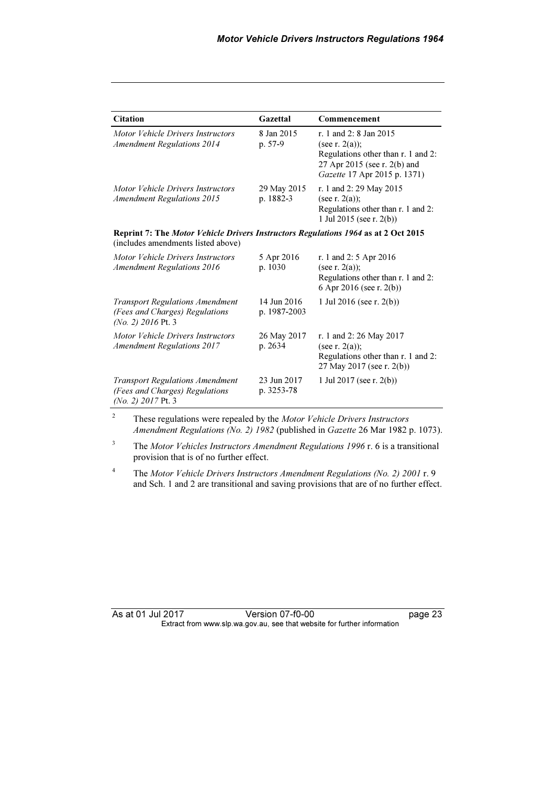| <b>Citation</b>                                                                                                          | Gazettal                    | Commencement                                                                                                                                      |
|--------------------------------------------------------------------------------------------------------------------------|-----------------------------|---------------------------------------------------------------------------------------------------------------------------------------------------|
| Motor Vehicle Drivers Instructors<br><b>Amendment Regulations 2014</b>                                                   | 8 Jan 2015<br>p. 57-9       | r. 1 and 2: 8 Jan 2015<br>(see r. $2(a)$ );<br>Regulations other than r. 1 and 2:<br>27 Apr 2015 (see r. 2(b) and<br>Gazette 17 Apr 2015 p. 1371) |
| Motor Vehicle Drivers Instructors<br><b>Amendment Regulations 2015</b>                                                   | 29 May 2015<br>p. 1882-3    | r. 1 and 2:29 May 2015<br>(see r. $2(a)$ );<br>Regulations other than r. 1 and 2:<br>1 Jul 2015 (see r. 2(b))                                     |
| Reprint 7: The Motor Vehicle Drivers Instructors Regulations 1964 as at 2 Oct 2015<br>(includes amendments listed above) |                             |                                                                                                                                                   |
| Motor Vehicle Drivers Instructors<br><b>Amendment Regulations 2016</b>                                                   | 5 Apr 2016<br>p. 1030       | r. 1 and 2: 5 Apr 2016<br>(see r. $2(a)$ );<br>Regulations other than r. 1 and 2:<br>6 Apr 2016 (see r. 2(b))                                     |
| <b>Transport Regulations Amendment</b><br>(Fees and Charges) Regulations<br>$(No. 2)$ 2016 Pt. 3                         | 14 Jun 2016<br>p. 1987-2003 | 1 Jul 2016 (see r. $2(b)$ )                                                                                                                       |
| Motor Vehicle Drivers Instructors<br><b>Amendment Regulations 2017</b>                                                   | 26 May 2017<br>p. 2634      | r. 1 and 2: 26 May 2017<br>(see r. $2(a)$ );<br>Regulations other than r. 1 and 2:<br>27 May 2017 (see r. 2(b))                                   |
| <b>Transport Regulations Amendment</b><br>(Fees and Charges) Regulations<br>$(No. 2)$ 2017 Pt. 3                         | 23 Jun 2017<br>p. 3253-78   | 1 Jul 2017 (see r. $2(b)$ )                                                                                                                       |

2 These regulations were repealed by the Motor Vehicle Drivers Instructors Amendment Regulations (No. 2) 1982 (published in Gazette 26 Mar 1982 p. 1073).

 $3$  The Motor Vehicles Instructors Amendment Regulations 1996 r. 6 is a transitional provision that is of no further effect.

4 The Motor Vehicle Drivers Instructors Amendment Regulations (No. 2) 2001 r. 9 and Sch. 1 and 2 are transitional and saving provisions that are of no further effect.

| As at 01 Jul 2017 | Version 07-f0-00                                                         | page 23 |
|-------------------|--------------------------------------------------------------------------|---------|
|                   | Extract from www.slp.wa.gov.au, see that website for further information |         |
|                   |                                                                          |         |
|                   |                                                                          |         |